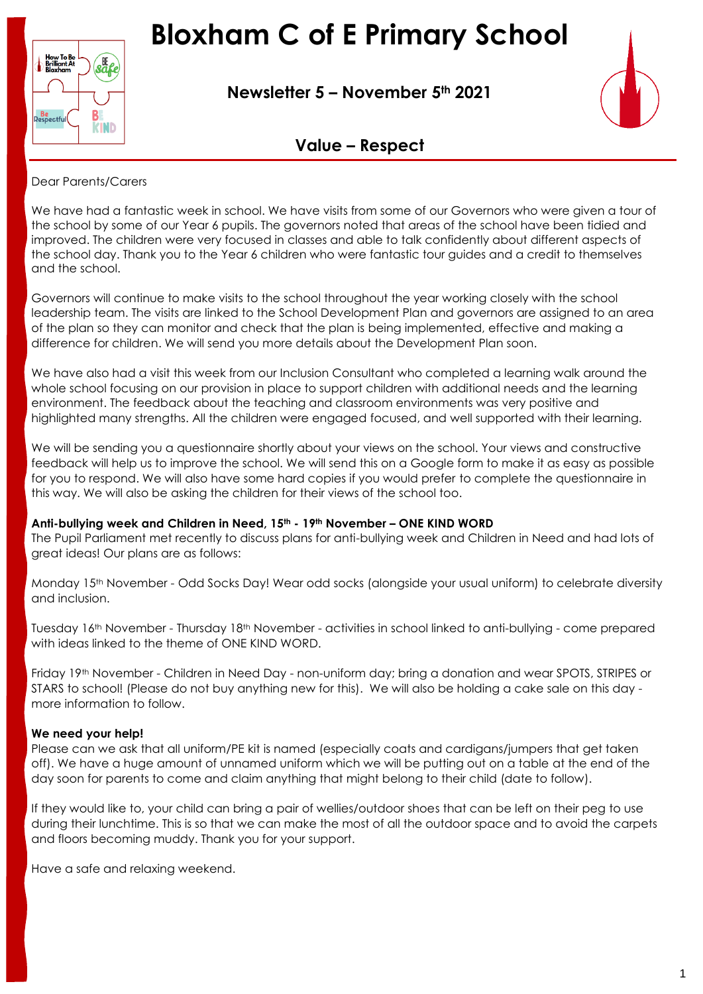# **Bloxham C of E Primary School**



**Newsletter 5 – November 5th 2021**



### **Value – Respect**

#### Dear Parents/Carers

We have had a fantastic week in school. We have visits from some of our Governors who were given a tour of the school by some of our Year 6 pupils. The governors noted that areas of the school have been tidied and improved. The children were very focused in classes and able to talk confidently about different aspects of the school day. Thank you to the Year 6 children who were fantastic tour guides and a credit to themselves and the school.

Governors will continue to make visits to the school throughout the year working closely with the school leadership team. The visits are linked to the School Development Plan and governors are assigned to an area of the plan so they can monitor and check that the plan is being implemented, effective and making a difference for children. We will send you more details about the Development Plan soon.

We have also had a visit this week from our Inclusion Consultant who completed a learning walk around the whole school focusing on our provision in place to support children with additional needs and the learning environment. The feedback about the teaching and classroom environments was very positive and highlighted many strengths. All the children were engaged focused, and well supported with their learning.

We will be sending you a questionnaire shortly about your views on the school. Your views and constructive feedback will help us to improve the school. We will send this on a Google form to make it as easy as possible for you to respond. We will also have some hard copies if you would prefer to complete the questionnaire in this way. We will also be asking the children for their views of the school too.

#### **Anti-bullying week and Children in Need, 15th - 19th November – ONE KIND WORD**

The Pupil Parliament met recently to discuss plans for anti-bullying week and Children in Need and had lots of great ideas! Our plans are as follows:

Monday 15th November - Odd Socks Day! Wear odd socks (alongside your usual uniform) to celebrate diversity and inclusion.

Tuesday 16th November - Thursday 18th November - activities in school linked to anti-bullying - come prepared with ideas linked to the theme of ONE KIND WORD.

Friday 19th November - Children in Need Day - non-uniform day; bring a donation and wear SPOTS, STRIPES or STARS to school! (Please do not buy anything new for this). We will also be holding a cake sale on this day more information to follow.

#### **We need your help!**

Please can we ask that all uniform/PE kit is named (especially coats and cardigans/jumpers that get taken off). We have a huge amount of unnamed uniform which we will be putting out on a table at the end of the day soon for parents to come and claim anything that might belong to their child (date to follow).

If they would like to, your child can bring a pair of wellies/outdoor shoes that can be left on their peg to use during their lunchtime. This is so that we can make the most of all the outdoor space and to avoid the carpets and floors becoming muddy. Thank you for your support.

Have a safe and relaxing weekend.